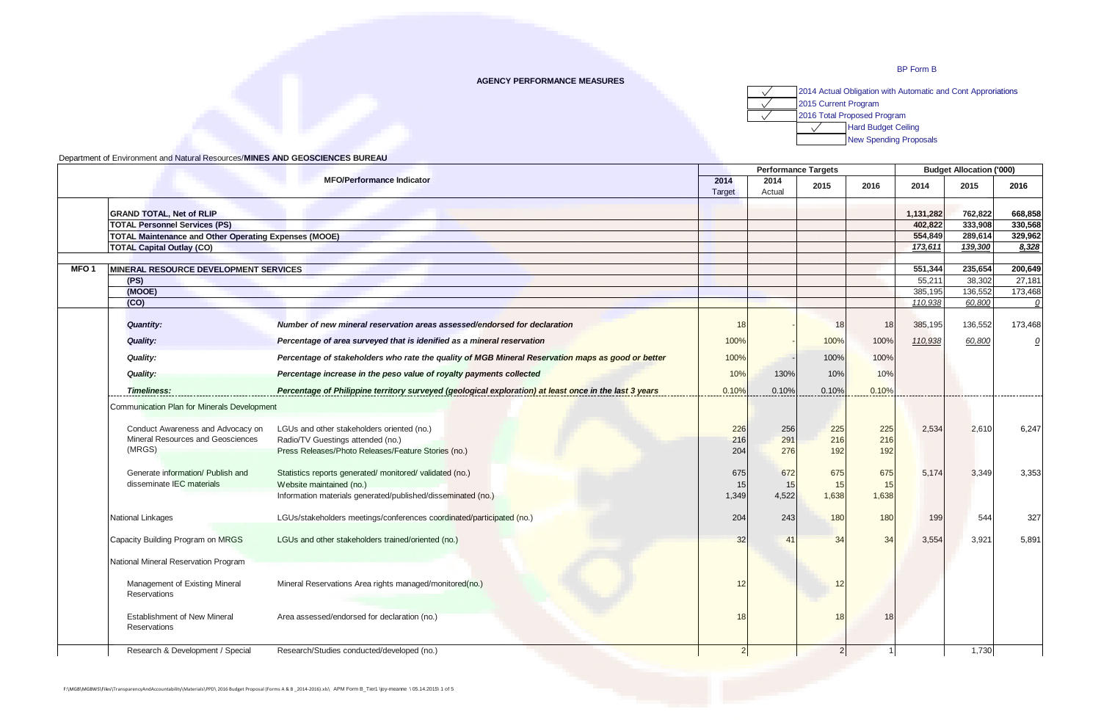## **AGENCY PERFORMANCE MEASURES**



|                  |                                                              |                                                                                                        |                | <b>Performance Targets</b> |       | <b>Budget Allocation ('000)</b> |                   |                   |              |
|------------------|--------------------------------------------------------------|--------------------------------------------------------------------------------------------------------|----------------|----------------------------|-------|---------------------------------|-------------------|-------------------|--------------|
|                  |                                                              | <b>MFO/Performance Indicator</b>                                                                       | 2014<br>Target | 2014<br>Actual             | 2015  | 2016                            | 2014              | 2015              | 2016         |
|                  | <b>GRAND TOTAL, Net of RLIP</b>                              |                                                                                                        |                |                            |       |                                 | 1,131,282         | 762.822           | 668.858      |
|                  | <b>TOTAL Personnel Services (PS)</b>                         |                                                                                                        |                |                            |       |                                 | 402,822           | 333,908           | 330,568      |
|                  | <b>TOTAL Maintenance and Other Operating Expenses (MOOE)</b> |                                                                                                        |                |                            |       |                                 | 554,849           | 289,614           | 329.962      |
|                  | <b>TOTAL Capital Outlay (CO)</b>                             |                                                                                                        |                |                            |       |                                 | 173,611           | 139,300           | 8,328        |
|                  |                                                              |                                                                                                        |                |                            |       |                                 |                   |                   | 200,649      |
| MFO <sub>1</sub> | <b>MINERAL RESOURCE DEVELOPMENT SERVICES</b><br>(PS)         |                                                                                                        |                |                            |       |                                 | 551,344<br>55,211 | 235,654<br>38,302 | 27,181       |
|                  | (MOOE)                                                       |                                                                                                        |                |                            |       |                                 | 385,195           | 136,552           | 173,468      |
|                  | (CO)                                                         |                                                                                                        |                |                            |       |                                 | 110,938           | 60,800            | $\mathcal Q$ |
|                  | <b>Quantity:</b>                                             | Number of new mineral reservation areas assessed/endorsed for declaration                              | 18             |                            | 18    | 18 <sup>1</sup>                 | 385,195           | 136,552           | 173,468      |
|                  | <b>Quality:</b>                                              | Percentage of area surveyed that is idenified as a mineral reservation                                 | 100%           |                            | 100%  | 100%                            | 110,938           | 60,800            | <u>0</u>     |
|                  | Quality:                                                     | Percentage of stakeholders who rate the quality of MGB Mineral Reservation maps as good or better      | 100%           |                            | 100%  | 100%                            |                   |                   |              |
|                  | Quality:                                                     | Percentage increase in the peso value of royalty payments collected                                    | 10%            | 130%                       | 10%   | 10%                             |                   |                   |              |
|                  | <b>Timeliness:</b>                                           | Percentage of Philippine territory surveyed (geological exploration) at least once in the last 3 years | 0.10%          | 0.10%                      | 0.10% | 0.10%                           |                   | ------------      |              |
|                  | Communication Plan for Minerals Development                  |                                                                                                        |                |                            |       |                                 |                   |                   |              |
|                  | Conduct Awareness and Advocacy on                            | LGUs and other stakeholders oriented (no.)                                                             | 226            | 256                        | 225   | 225                             | 2,534             | 2,610             | 6.247        |
|                  | Mineral Resources and Geosciences                            | Radio/TV Guestings attended (no.)                                                                      | 216            | 291                        | 216   | 216                             |                   |                   |              |
|                  | (MRGS)                                                       | Press Releases/Photo Releases/Feature Stories (no.)                                                    | 204            | 276                        | 192   | 192                             |                   |                   |              |
|                  | Generate information/ Publish and                            | Statistics reports generated/monitored/validated (no.)                                                 | 675            | 672                        | 675   | 675                             | 5,174             | 3,349             | 3,353        |
|                  | disseminate IEC materials                                    | Website maintained (no.)                                                                               | 15             | 15                         | 15    | 15                              |                   |                   |              |
|                  |                                                              | Information materials generated/published/disseminated (no.)                                           | 1,349          | 4,522                      | 1,638 | 1,638                           |                   |                   |              |
|                  | National Linkages                                            | LGUs/stakeholders meetings/conferences coordinated/participated (no.)                                  | 204            | 243                        | 180   | 180                             | 199               | 544               | 327          |
|                  | Capacity Building Program on MRGS                            | LGUs and other stakeholders trained/oriented (no.)                                                     | 32             | 41                         | 34    | 34                              | 3,554             | 3,921             | 5,891        |
|                  | National Mineral Reservation Program                         |                                                                                                        |                |                            |       |                                 |                   |                   |              |
|                  | Management of Existing Mineral<br><b>Reservations</b>        | Mineral Reservations Area rights managed/monitored(no.)                                                | 12             |                            | 12    |                                 |                   |                   |              |
|                  | <b>Establishment of New Mineral</b><br><b>Reservations</b>   | Area assessed/endorsed for declaration (no.)                                                           | 18             |                            | 18    | 18                              |                   |                   |              |
|                  | Research & Development / Special                             | Research/Studies conducted/developed (no.)                                                             | $\overline{2}$ |                            | 2     | $\mathbf{1}$                    |                   | 1,730             |              |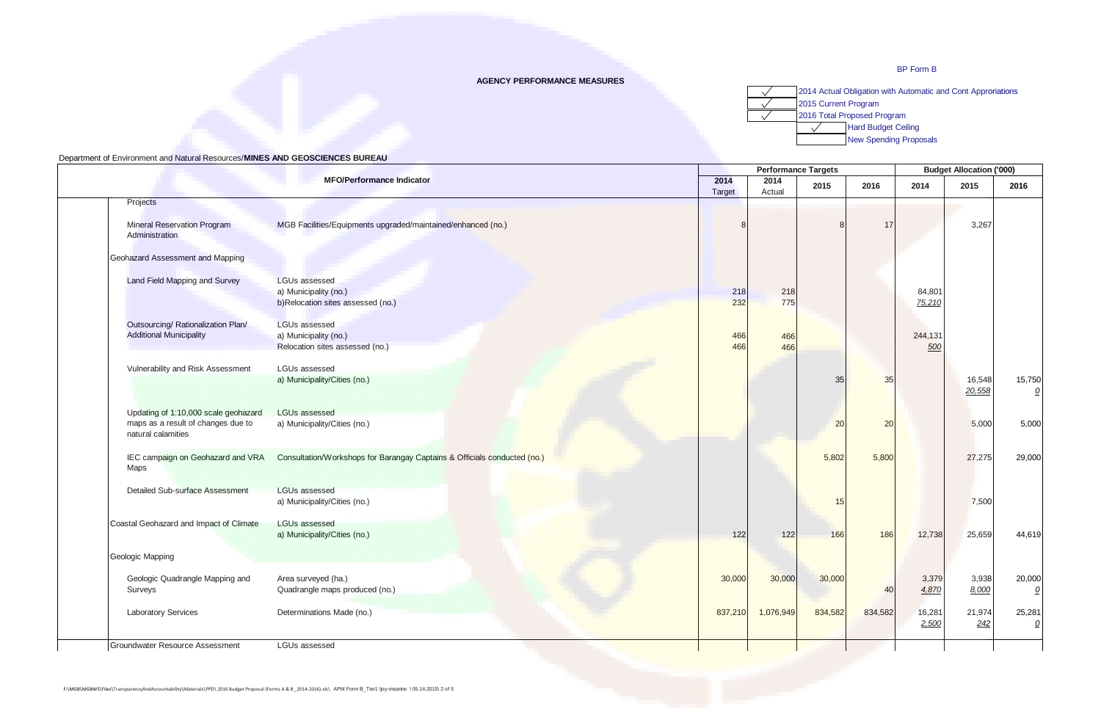# **AGENCY PERFORMANCE MEASURES**



|                                                          |                                                                          |                | <b>Performance Targets</b> |         |         |         | <b>Budget Allocation ('000)</b> |                          |  |  |
|----------------------------------------------------------|--------------------------------------------------------------------------|----------------|----------------------------|---------|---------|---------|---------------------------------|--------------------------|--|--|
|                                                          | <b>MFO/Performance Indicator</b>                                         | 2014<br>Target | 2014<br>Actual             | 2015    | 2016    | 2014    | 2015                            | 2016                     |  |  |
| Projects                                                 |                                                                          |                |                            |         |         |         |                                 |                          |  |  |
| <b>Mineral Reservation Program</b>                       | MGB Facilities/Equipments upgraded/maintained/enhanced (no.)             | $\mathsf{R}$   |                            |         | 17      |         | 3,267                           |                          |  |  |
| Administration                                           |                                                                          |                |                            |         |         |         |                                 |                          |  |  |
| Geohazard Assessment and Mapping                         |                                                                          |                |                            |         |         |         |                                 |                          |  |  |
| Land Field Mapping and Survey                            | <b>LGUs assessed</b>                                                     |                |                            |         |         |         |                                 |                          |  |  |
|                                                          | a) Municipality (no.)                                                    | 218            | 218                        |         |         | 84,801  |                                 |                          |  |  |
|                                                          | b)Relocation sites assessed (no.)                                        | 232            | 775                        |         |         | 75,210  |                                 |                          |  |  |
| Outsourcing/ Rationalization Plan/                       | <b>LGUs assessed</b>                                                     |                |                            |         |         |         |                                 |                          |  |  |
| <b>Additional Municipality</b>                           | a) Municipality (no.)                                                    | 466<br>466     | 466                        |         |         | 244,131 |                                 |                          |  |  |
|                                                          | Relocation sites assessed (no.)                                          |                | 466                        |         |         | 500     |                                 |                          |  |  |
| Vulnerability and Risk Assessment                        | LGUs assessed                                                            |                |                            |         |         |         |                                 |                          |  |  |
|                                                          | a) Municipality/Cities (no.)                                             |                |                            | 35      | 35      |         | 16,548<br>20,558                | 15,750<br>${\mathcal Q}$ |  |  |
| Updating of 1:10,000 scale geohazard                     | <b>LGUs assessed</b>                                                     |                |                            |         |         |         |                                 |                          |  |  |
| maps as a result of changes due to<br>natural calamities | a) Municipality/Cities (no.)                                             |                |                            | 20      | 20      |         | 5,000                           | 5,000                    |  |  |
|                                                          |                                                                          |                |                            |         |         |         |                                 |                          |  |  |
| IEC campaign on Geohazard and VRA<br>Maps                | Consultation/Workshops for Barangay Captains & Officials conducted (no.) |                |                            | 5,802   | 5,800   |         | 27,275                          | 29,000                   |  |  |
| <b>Detailed Sub-surface Assessment</b>                   | LGUs assessed                                                            |                |                            |         |         |         |                                 |                          |  |  |
|                                                          | a) Municipality/Cities (no.)                                             |                |                            | 15      |         |         | 7,500                           |                          |  |  |
| Coastal Geohazard and Impact of Climate                  | <b>LGUs assessed</b>                                                     |                |                            |         |         |         |                                 |                          |  |  |
|                                                          | a) Municipality/Cities (no.)                                             | 122            | 122                        | 166     | 186     | 12,738  | 25,659                          | 44,619                   |  |  |
| Geologic Mapping                                         |                                                                          |                |                            |         |         |         |                                 |                          |  |  |
| Geologic Quadrangle Mapping and                          | Area surveyed (ha.)                                                      | 30,000         | 30,000                     | 30,000  |         | 3,379   | 3,938                           | 20,000                   |  |  |
| Surveys                                                  | Quadrangle maps produced (no.)                                           |                |                            |         | 40      | 4,870   | 8,000                           | $\mathcal{Q}$            |  |  |
| <b>Laboratory Services</b>                               | Determinations Made (no.)                                                | 837,210        | 1,076,949                  | 834,582 | 834,582 | 16,281  | 21,974                          | 25,281                   |  |  |
|                                                          |                                                                          |                |                            |         |         | 2,500   | 242                             | $\Omega$                 |  |  |
| Groundwater Resource Assessment                          | LGUs assessed                                                            |                |                            |         |         |         |                                 |                          |  |  |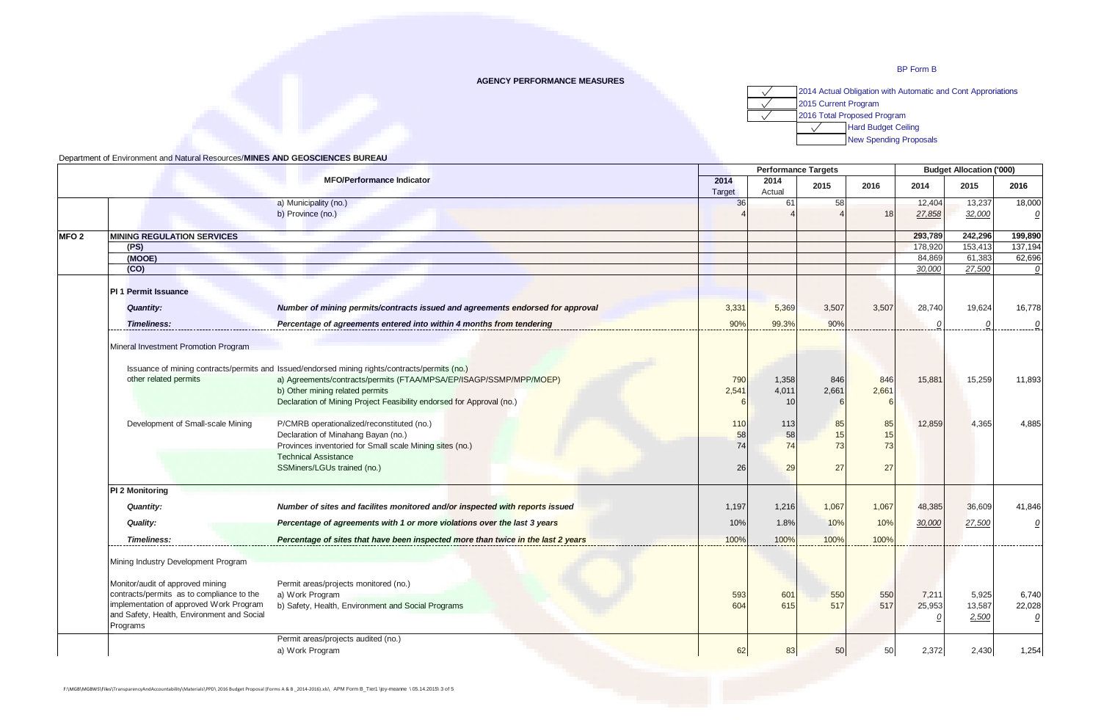## **AGENCY PERFORMANCE MEASURES**

2014 Actual Obligation with Automatic and Cont Approriations  $\sqrt{}$ 2015 Current Program  $\sqrt{}$ 2016 Total Proposed Program  $\sqrt{}$ Hard Budget Ceiling  $\sqrt{2}$ New Spending Proposals

|                  |                                                                                      |                                                                                                |                |       | <b>Performance Targets</b> |            |         |         |                          |
|------------------|--------------------------------------------------------------------------------------|------------------------------------------------------------------------------------------------|----------------|-------|----------------------------|------------|---------|---------|--------------------------|
|                  |                                                                                      | 2014<br>Target                                                                                 | 2014<br>Actual | 2015  | 2016                       | 2014       | 2015    | 2016    |                          |
|                  |                                                                                      | a) Municipality (no.)                                                                          | 36             | 61    | 58                         |            | 12,404  | 13,237  | 18,000                   |
|                  |                                                                                      | b) Province (no.)                                                                              |                |       |                            | 18         | 27,858  | 32,000  | $\overline{\mathcal{O}}$ |
| MFO <sub>2</sub> | <b>MINING REGULATION SERVICES</b>                                                    |                                                                                                |                |       |                            |            | 293,789 | 242,296 | 199,890                  |
|                  | (PS)                                                                                 |                                                                                                |                |       |                            |            | 178,920 | 153,413 | 137,194                  |
|                  | (MOOE)                                                                               |                                                                                                |                |       |                            |            | 84,869  | 61,383  | 62,696                   |
|                  | (CO)                                                                                 |                                                                                                |                |       |                            |            | 30.000  | 27,500  | 0                        |
|                  | <b>PI 1 Permit Issuance</b>                                                          |                                                                                                |                |       |                            |            |         |         |                          |
|                  | <b>Quantity:</b>                                                                     | Number of mining permits/contracts issued and agreements endorsed for approval                 | 3,331          | 5,369 | 3,507                      | 3,507      | 28,740  | 19,624  | 16,778                   |
|                  | <b>Timeliness:</b>                                                                   | Percentage of agreements entered into within 4 months from tendering                           | 90%            | 99.3% | 90%                        |            |         |         |                          |
|                  | Mineral Investment Promotion Program                                                 |                                                                                                |                |       |                            |            |         |         |                          |
|                  |                                                                                      | Issuance of mining contracts/permits and Issued/endorsed mining rights/contracts/permits (no.) |                |       |                            |            |         |         |                          |
|                  | other related permits                                                                | a) Agreements/contracts/permits (FTAA/MPSA/EP/ISAGP/SSMP/MPP/MOEP)                             | 790            | 1,358 | 846                        | 846        | 15,881  | 15,259  | 11,893                   |
|                  |                                                                                      | b) Other mining related permits                                                                | 2,541          | 4,011 | 2,661                      | 2,661      |         |         |                          |
|                  |                                                                                      | Declaration of Mining Project Feasibility endorsed for Approval (no.)                          |                | 10    |                            | $\epsilon$ |         |         |                          |
|                  | Development of Small-scale Mining                                                    | P/CMRB operationalized/reconstituted (no.)                                                     | 110            | 113   | 85                         | 85         | 12,859  | 4,365   | 4,885                    |
|                  |                                                                                      | Declaration of Minahang Bayan (no.)                                                            | 58             | 58    | 15                         | 15         |         |         |                          |
|                  |                                                                                      | Provinces inventoried for Small scale Mining sites (no.)                                       | 74             | 74    | 73                         | 73         |         |         |                          |
|                  |                                                                                      | <b>Technical Assistance</b>                                                                    |                |       |                            |            |         |         |                          |
|                  |                                                                                      | SSMiners/LGUs trained (no.)                                                                    | 26             | 29    | 27                         | 27         |         |         |                          |
|                  | PI 2 Monitoring                                                                      |                                                                                                |                |       |                            |            |         |         |                          |
|                  | <b>Quantity:</b>                                                                     | Number of sites and facilites monitored and/or inspected with reports issued                   | 1,197          | 1,216 | 1,067                      | 1,067      | 48,385  | 36,609  | 41,846                   |
|                  | Quality:                                                                             | Percentage of agreements with 1 or more violations over the last 3 years                       | 10%            | 1.8%  | 10%                        | 10%        | 30,000  | 27,500  | 0                        |
|                  | <b>Timeliness:</b>                                                                   | Percentage of sites that have been inspected more than twice in the last 2 years               | 100%           | 100%  | 100%                       | 100%       |         |         |                          |
|                  | Mining Industry Development Program                                                  |                                                                                                |                |       |                            |            |         |         |                          |
|                  |                                                                                      |                                                                                                |                |       |                            |            |         |         |                          |
|                  | Monitor/audit of approved mining                                                     | Permit areas/projects monitored (no.)                                                          |                |       |                            |            |         |         |                          |
|                  | contracts/permits as to compliance to the<br>implementation of approved Work Program | a) Work Program                                                                                | 593            | 601   | 550                        | 550        | 7,211   | 5,925   | 6,740                    |
|                  | and Safety, Health, Environment and Social                                           | b) Safety, Health, Environment and Social Programs                                             | 604            | 615   | 517                        | 517        | 25,953  | 13,587  | 22,028                   |
|                  | Programs                                                                             |                                                                                                |                |       |                            |            |         | 2,500   | $\mathcal Q$             |
|                  |                                                                                      | Permit areas/projects audited (no.)                                                            |                |       |                            |            |         |         |                          |
|                  |                                                                                      | a) Work Program                                                                                | 62             | 83    | 50                         | 50         | 2,372   | 2,430   | 1,254                    |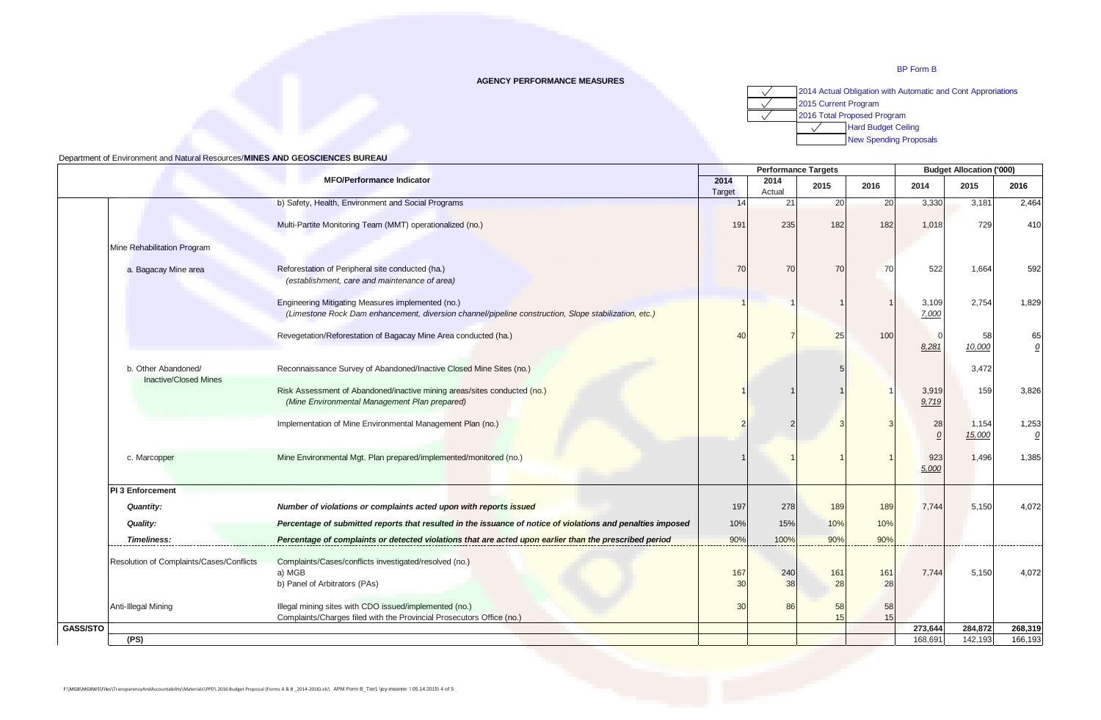## **AGENCY PERFORMANCE MEASURES**



|                                          |                                                                                                                           |                 | <b>Performance Targets</b> |      |      |                    | <b>Budget Allocation ('000)</b> |                        |  |
|------------------------------------------|---------------------------------------------------------------------------------------------------------------------------|-----------------|----------------------------|------|------|--------------------|---------------------------------|------------------------|--|
| <b>MFO/Performance Indicator</b>         |                                                                                                                           | 2014<br>Target  | 2014<br>Actual             | 2015 | 2016 | 2014               | 2015                            | 2016                   |  |
|                                          | b) Safety, Health, Environment and Social Programs                                                                        | 14              | 21                         | 20   | 20   | 3,330              | 3,181                           | 2,464                  |  |
|                                          |                                                                                                                           |                 |                            |      |      |                    |                                 |                        |  |
|                                          | Multi-Partite Monitoring Team (MMT) operationalized (no.)                                                                 | 191             | 235                        | 182  | 182  | 1,018              | 729                             | 410                    |  |
| Mine Rehabilitation Program              |                                                                                                                           |                 |                            |      |      |                    |                                 |                        |  |
| a. Bagacay Mine area                     | Reforestation of Peripheral site conducted (ha.)<br>(establishment, care and maintenance of area)                         | 70              | 70                         | 70   | 70   | 522                | 1,664                           | 592                    |  |
|                                          | Engineering Mitigating Measures implemented (no.)                                                                         |                 |                            |      |      | 3,109              | 2,754                           | 1,829                  |  |
|                                          | (Limestone Rock Dam enhancement, diversion channel/pipeline construction, Slope stabilization, etc.)                      |                 |                            |      |      | 7,000              |                                 |                        |  |
|                                          | Revegetation/Reforestation of Bagacay Mine Area conducted (ha.)                                                           | 40              |                            | 25   | 100  |                    | 58                              | 65                     |  |
|                                          |                                                                                                                           |                 |                            |      |      | 8,281              | 10,000                          | $\Omega$               |  |
| b. Other Abandoned/                      | Reconnaissance Survey of Abandoned/Inactive Closed Mine Sites (no.)                                                       |                 |                            |      |      |                    | 3,472                           |                        |  |
| <b>Inactive/Closed Mines</b>             | Risk Assessment of Abandoned/inactive mining areas/sites conducted (no.)<br>(Mine Environmental Management Plan prepared) |                 |                            |      |      | 3,919<br>9,719     | 159                             | 3,826                  |  |
|                                          | Implementation of Mine Environmental Management Plan (no.)                                                                |                 |                            |      |      | 28                 | 1,154<br>15,000                 | 1,253<br>$\mathcal{Q}$ |  |
| c. Marcopper                             | Mine Environmental Mgt. Plan prepared/implemented/monitored (no.)                                                         |                 |                            |      |      | 923<br>5,000       | 1,496                           | 1,385                  |  |
| <b>PI 3 Enforcement</b>                  |                                                                                                                           |                 |                            |      |      |                    |                                 |                        |  |
| <b>Quantity:</b>                         | Number of violations or complaints acted upon with reports issued                                                         | 197             | 278                        | 189  | 189  | 7,744              | 5,150                           | 4,072                  |  |
| Quality:                                 | Percentage of submitted reports that resulted in the issuance of notice of violations and penalties imposed               | 10%             | 15%                        | 10%  | 10%  |                    |                                 |                        |  |
| <b>Timeliness:</b>                       | Percentage of complaints or detected violations that are acted upon earlier than the prescribed period                    | 90%             | 100%                       | 90%  | 90%  |                    |                                 |                        |  |
| Resolution of Complaints/Cases/Conflicts | Complaints/Cases/conflicts investigated/resolved (no.)                                                                    |                 |                            |      |      |                    |                                 |                        |  |
|                                          | a) MGB                                                                                                                    | 167             | 240                        | 161  | 161  | 7,744              | 5,150                           | 4,072                  |  |
|                                          | b) Panel of Arbitrators (PAs)                                                                                             | 30              | 38                         | 28   | 28   |                    |                                 |                        |  |
| Anti-Illegal Mining                      | Illegal mining sites with CDO issued/implemented (no.)                                                                    | 30 <sup>1</sup> | 86                         | 58   | 58   |                    |                                 |                        |  |
|                                          | Complaints/Charges filed with the Provincial Prosecutors Office (no.)                                                     |                 |                            | 15   | 15   |                    |                                 |                        |  |
| (FS)                                     |                                                                                                                           |                 |                            |      |      | 273,644<br>168,691 | 284,872<br>142,193              | 268,319<br>166,193     |  |
|                                          |                                                                                                                           |                 |                            |      |      |                    |                                 |                        |  |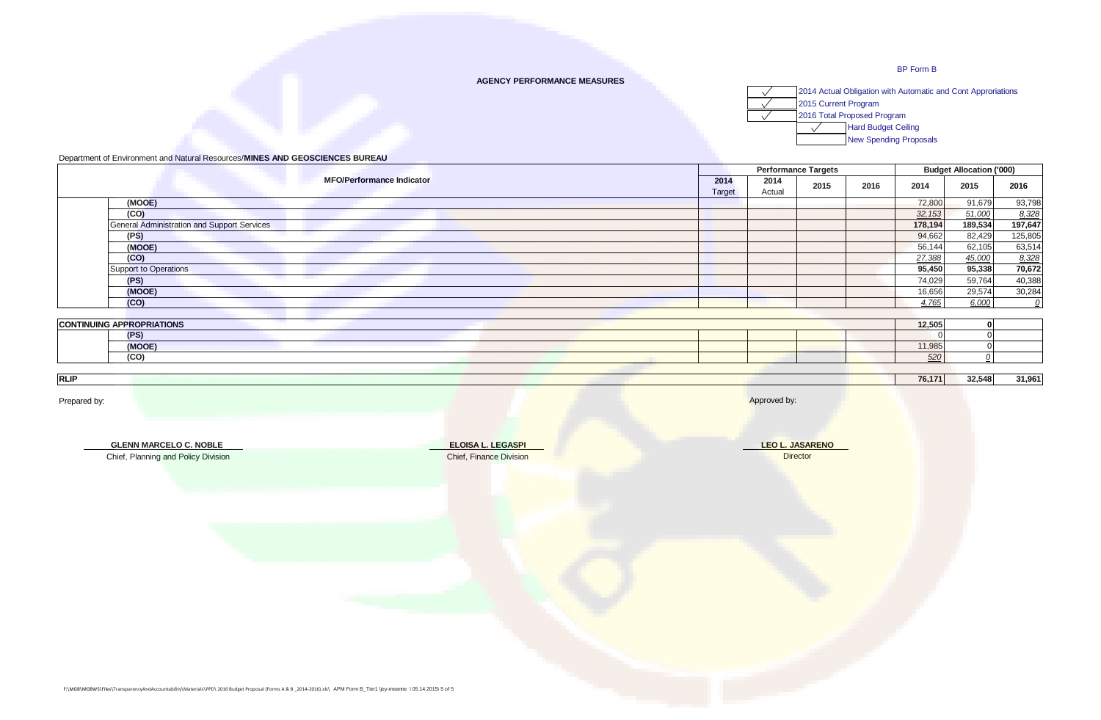## **AGENCY PERFORMANCE MEASURES**



# Department of Environment and Natural Resources/**MINES AND GEOSCIENCES BUREAU**

|                                             |                |                | <b>Performance Targets</b> | <b>Budget Allocation ('000)</b> |         |         |         |
|---------------------------------------------|----------------|----------------|----------------------------|---------------------------------|---------|---------|---------|
| <b>MFO/Performance Indicator</b>            | 2014<br>Target | 2014<br>Actual | 2015                       | 2016                            | 2014    | 2015    | 2016    |
| (MOOE)                                      |                |                |                            |                                 | 72,800  | 91,679  | 93,798  |
| (CO)                                        |                |                |                            |                                 | 32, 153 | 51,000  | 8,328   |
| General Administration and Support Services |                |                |                            |                                 | 178,194 | 189,534 | 197,647 |
| (PS)                                        |                |                |                            |                                 | 94,662  | 82,429  | 125,805 |
| (MOOE)                                      |                |                |                            |                                 | 56,144  | 62,105  | 63,514  |
| (CO)                                        |                |                |                            |                                 | 27,388  | 45,000  | 8,328   |
| <b>Support to Operations</b>                |                |                |                            |                                 | 95,450  | 95,338  | 70,672  |
| (PS)                                        |                |                |                            |                                 | 74,029  | 59,764  | 40,388  |
| (MOOE)                                      |                |                |                            |                                 | 16,656  | 29,574  | 30,284  |
| (CO)                                        |                |                |                            |                                 | 4,765   | 6,000   |         |

| <b>CONTINUING</b> | <b>GAPPROPRIATIONS</b> |  | 12,505                                   |  |
|-------------------|------------------------|--|------------------------------------------|--|
|                   | (PS)                   |  |                                          |  |
|                   | (MOOE)                 |  | $\cdot$ $\cdot$ $\sim$ $\sim$<br>טטט, וו |  |
|                   | (CO)                   |  | -520 I                                   |  |

**RLIP 76,171 32,548 31,961**

| Prepared by:                                                                                                                                                         |                                              | Approved by:                       |
|----------------------------------------------------------------------------------------------------------------------------------------------------------------------|----------------------------------------------|------------------------------------|
| <b>GLENN MARCELO C. NOBLE</b><br>Chief, Planning and Policy Division                                                                                                 | ELOISA L. LEGASPI<br>Chief, Finance Division | <b>LEO L. JASARENO</b><br>Director |
|                                                                                                                                                                      |                                              |                                    |
|                                                                                                                                                                      |                                              |                                    |
|                                                                                                                                                                      |                                              |                                    |
| F:\MGB\MGBWS\Files\TransparencyAndAccountability\Materials\PPD\ 2016 Budget Proposal (Forms A & B _2014-2016).xls\ APM Form B_Tier1 \joy-meanne \ 05.14.2015\ 5 of 5 |                                              |                                    |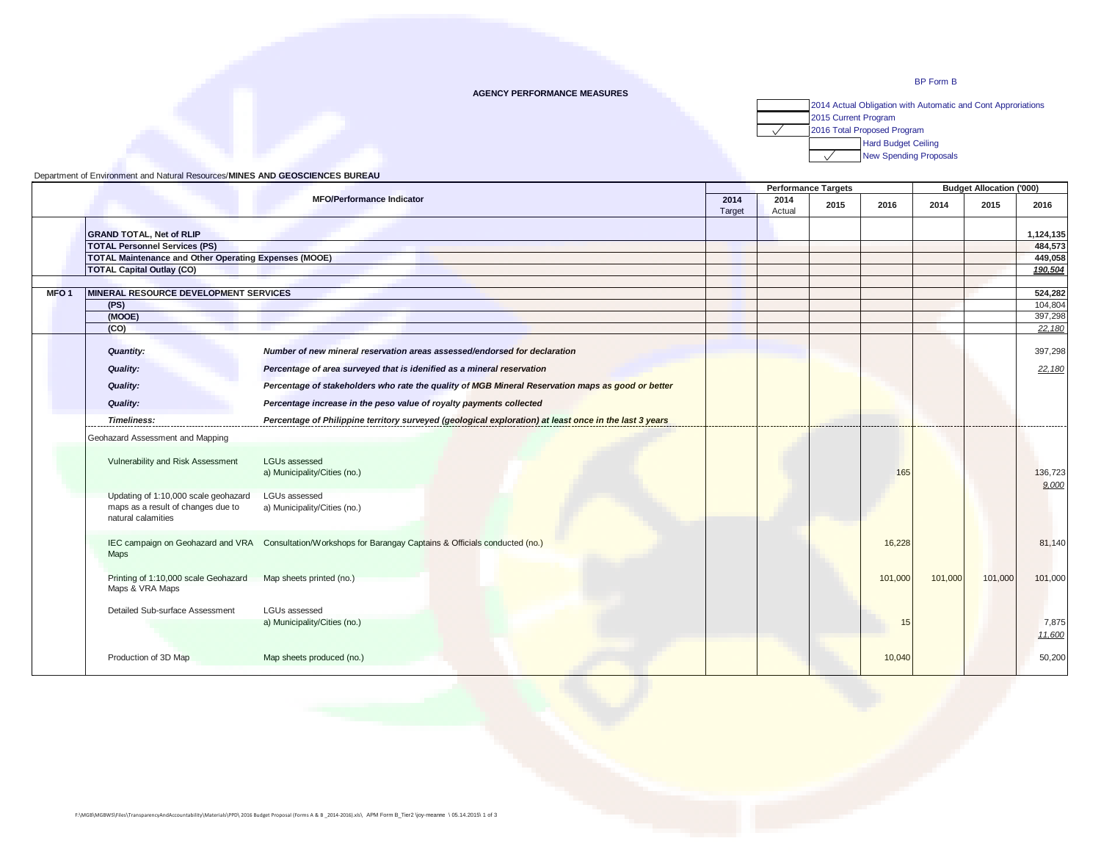#### **AGENCY PERFORMANCE MEASURES**



|                  |                                                                                                  |                                                                                                            |                | <b>Performance Targets</b> |      |         | <b>Budget Allocation ('000)</b> |         |                  |
|------------------|--------------------------------------------------------------------------------------------------|------------------------------------------------------------------------------------------------------------|----------------|----------------------------|------|---------|---------------------------------|---------|------------------|
|                  |                                                                                                  | <b>MFO/Performance Indicator</b>                                                                           | 2014<br>Target | 2014<br>Actual             | 2015 | 2016    | 2014                            | 2015    | 2016             |
|                  | <b>GRAND TOTAL, Net of RLIP</b>                                                                  |                                                                                                            |                |                            |      |         |                                 |         | 1,124,135        |
|                  | <b>TOTAL Personnel Services (PS)</b>                                                             |                                                                                                            |                |                            |      |         |                                 |         | 484,573          |
|                  | <b>TOTAL Maintenance and Other Operating Expenses (MOOE)</b>                                     |                                                                                                            |                |                            |      |         |                                 |         | 449,058          |
|                  | <b>TOTAL Capital Outlay (CO)</b>                                                                 |                                                                                                            |                |                            |      |         |                                 |         | 190,504          |
|                  |                                                                                                  |                                                                                                            |                |                            |      |         |                                 |         |                  |
| MFO <sub>1</sub> | MINERAL RESOURCE DEVELOPMENT SERVICES                                                            |                                                                                                            |                |                            |      |         |                                 |         | 524,282          |
|                  | (PS)                                                                                             |                                                                                                            |                |                            |      |         |                                 |         | 104,804          |
|                  | (MOOE)                                                                                           |                                                                                                            |                |                            |      |         |                                 |         | 397,298          |
|                  | (CO)                                                                                             |                                                                                                            |                |                            |      |         |                                 |         | 22,180           |
|                  |                                                                                                  |                                                                                                            |                |                            |      |         |                                 |         |                  |
|                  | <b>Quantity:</b>                                                                                 | Number of new mineral reservation areas assessed/endorsed for declaration                                  |                |                            |      |         |                                 |         | 397,298          |
|                  | <b>Quality:</b>                                                                                  | Percentage of area surveyed that is idenified as a mineral reservation                                     |                |                            |      |         |                                 |         | 22,180           |
|                  | <b>Quality:</b>                                                                                  | Percentage of stakeholders who rate the quality of MGB Mineral Reservation maps as good or better          |                |                            |      |         |                                 |         |                  |
|                  | <b>Quality:</b>                                                                                  | Percentage increase in the peso value of royalty payments collected                                        |                |                            |      |         |                                 |         |                  |
|                  | Timeliness:                                                                                      | Percentage of Philippine territory surveyed (geological exploration) at least once in the last 3 years     |                |                            |      |         |                                 |         |                  |
|                  | Geohazard Assessment and Mapping<br>Vulnerability and Risk Assessment                            | LGUs assessed<br>a) Municipality/Cities (no.)                                                              |                |                            |      | 165     |                                 |         | 136,723<br>9.000 |
|                  | Updating of 1:10,000 scale geohazard<br>maps as a result of changes due to<br>natural calamities | <b>LGUs assessed</b><br>a) Municipality/Cities (no.)                                                       |                |                            |      |         |                                 |         |                  |
|                  | <b>Maps</b>                                                                                      | IEC campaign on Geohazard and VRA Consultation/Workshops for Barangay Captains & Officials conducted (no.) |                |                            |      | 16,228  |                                 |         | 81,140           |
|                  | Printing of 1:10,000 scale Geohazard<br>Maps & VRA Maps                                          | Map sheets printed (no.)                                                                                   |                |                            |      | 101,000 | 101,000                         | 101,000 | 101,000          |
|                  | Detailed Sub-surface Assessment                                                                  | <b>LGUs assessed</b>                                                                                       |                |                            |      |         |                                 |         |                  |
|                  |                                                                                                  | a) Municipality/Cities (no.)                                                                               |                |                            |      | 15      |                                 |         | 7,875<br>11,600  |
|                  | Production of 3D Map                                                                             | Map sheets produced (no.)                                                                                  |                |                            |      | 10,040  |                                 |         | 50,200           |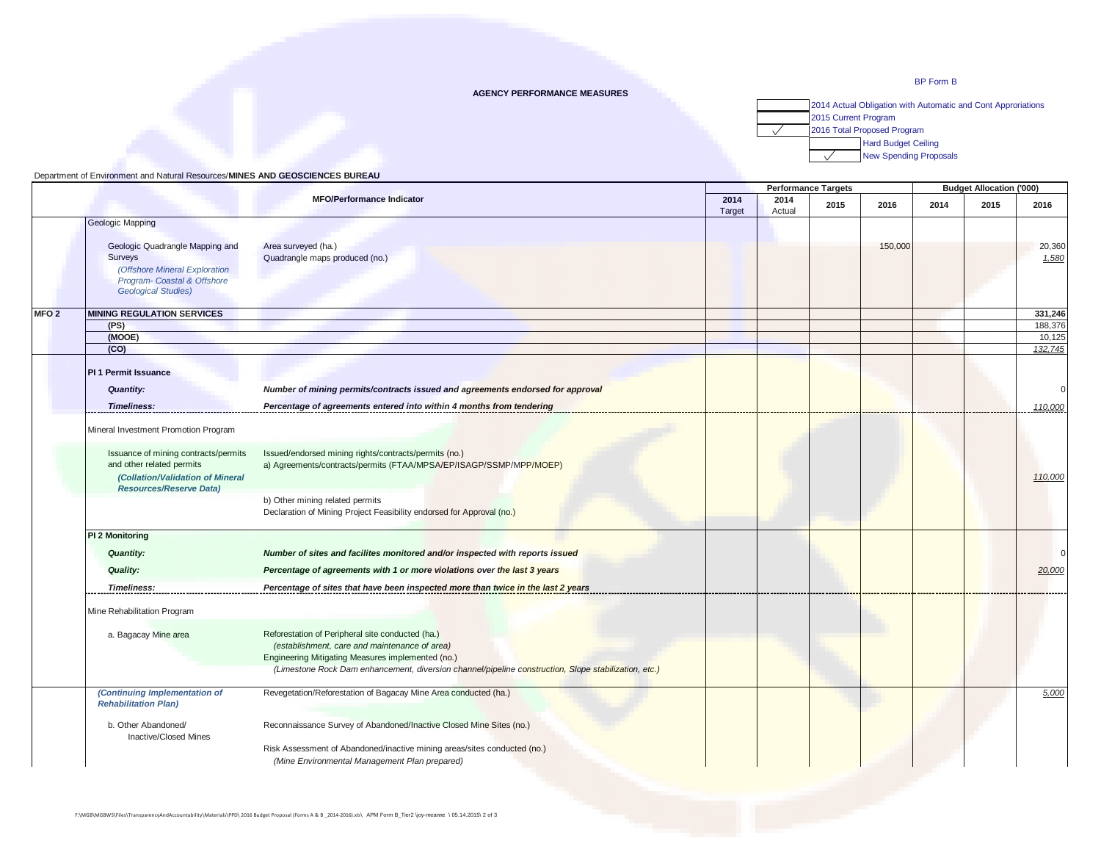#### **AGENCY PERFORMANCE MEASURES**



|                  | 2014                                       |                                                                                                      |        |                | <b>Performance Targets</b> |         |      | <b>Budget Allocation ('000)</b> |                 |
|------------------|--------------------------------------------|------------------------------------------------------------------------------------------------------|--------|----------------|----------------------------|---------|------|---------------------------------|-----------------|
|                  |                                            | <b>MFO/Performance Indicator</b>                                                                     |        | 2014<br>Actual | 2015                       | 2016    | 2014 | 2015                            | 2016            |
|                  | Geologic Mapping                           |                                                                                                      | Target |                |                            |         |      |                                 |                 |
|                  |                                            |                                                                                                      |        |                |                            |         |      |                                 |                 |
|                  | Geologic Quadrangle Mapping and<br>Surveys | Area surveyed (ha.)<br>Quadrangle maps produced (no.)                                                |        |                |                            | 150,000 |      |                                 | 20,360<br>1,580 |
|                  | (Offshore Mineral Exploration              |                                                                                                      |        |                |                            |         |      |                                 |                 |
|                  | Program- Coastal & Offshore                |                                                                                                      |        |                |                            |         |      |                                 |                 |
|                  | <b>Geological Studies)</b>                 |                                                                                                      |        |                |                            |         |      |                                 |                 |
| MFO <sub>2</sub> | <b>MINING REGULATION SERVICES</b>          |                                                                                                      |        |                |                            |         |      |                                 | 331,246         |
|                  | (PS)                                       |                                                                                                      |        |                |                            |         |      |                                 | 188,376         |
|                  | (MOOE)                                     |                                                                                                      |        |                |                            |         |      |                                 | 10,125          |
|                  | (CO)                                       |                                                                                                      |        |                |                            |         |      |                                 | 132,745         |
|                  | <b>PI 1 Permit Issuance</b>                |                                                                                                      |        |                |                            |         |      |                                 |                 |
|                  | <b>Quantity:</b>                           | Number of mining permits/contracts issued and agreements endorsed for approval                       |        |                |                            |         |      |                                 | $\Omega$        |
|                  | <b>Timeliness:</b>                         | Percentage of agreements entered into within 4 months from tendering                                 |        |                |                            |         |      |                                 | 110,000         |
|                  |                                            |                                                                                                      |        |                |                            |         |      |                                 |                 |
|                  | Mineral Investment Promotion Program       |                                                                                                      |        |                |                            |         |      |                                 |                 |
|                  | Issuance of mining contracts/permits       | Issued/endorsed mining rights/contracts/permits (no.)                                                |        |                |                            |         |      |                                 |                 |
|                  | and other related permits                  | a) Agreements/contracts/permits (FTAA/MPSA/EP/ISAGP/SSMP/MPP/MOEP)                                   |        |                |                            |         |      |                                 |                 |
|                  | (Collation/Validation of Mineral           |                                                                                                      |        |                |                            |         |      |                                 | 110,000         |
|                  | <b>Resources/Reserve Data)</b>             |                                                                                                      |        |                |                            |         |      |                                 |                 |
|                  |                                            | b) Other mining related permits                                                                      |        |                |                            |         |      |                                 |                 |
|                  |                                            | Declaration of Mining Project Feasibility endorsed for Approval (no.)                                |        |                |                            |         |      |                                 |                 |
|                  | PI 2 Monitoring                            |                                                                                                      |        |                |                            |         |      |                                 |                 |
|                  | <b>Quantity:</b>                           | Number of sites and facilites monitored and/or inspected with reports issued                         |        |                |                            |         |      |                                 | $\Omega$        |
|                  | <b>Quality:</b>                            | Percentage of agreements with 1 or more violations over the last 3 years                             |        |                |                            |         |      |                                 | 20,000          |
|                  | <b>Timeliness:</b>                         | Percentage of sites that have been inspected more than twice in the last 2 years                     |        |                |                            |         |      |                                 |                 |
|                  | Mine Rehabilitation Program                |                                                                                                      |        |                |                            |         |      |                                 |                 |
|                  | a. Bagacay Mine area                       |                                                                                                      |        |                |                            |         |      |                                 |                 |
|                  |                                            | Reforestation of Peripheral site conducted (ha.)<br>(establishment, care and maintenance of area)    |        |                |                            |         |      |                                 |                 |
|                  |                                            | Engineering Mitigating Measures implemented (no.)                                                    |        |                |                            |         |      |                                 |                 |
|                  |                                            | (Limestone Rock Dam enhancement, diversion channel/pipeline construction, Slope stabilization, etc.) |        |                |                            |         |      |                                 |                 |
|                  | (Continuing Implementation of              | Revegetation/Reforestation of Bagacay Mine Area conducted (ha.)                                      |        |                |                            |         |      |                                 | 5,000           |
|                  | <b>Rehabilitation Plan)</b>                |                                                                                                      |        |                |                            |         |      |                                 |                 |
|                  | b. Other Abandoned/                        | Reconnaissance Survey of Abandoned/Inactive Closed Mine Sites (no.)                                  |        |                |                            |         |      |                                 |                 |
|                  | <b>Inactive/Closed Mines</b>               |                                                                                                      |        |                |                            |         |      |                                 |                 |
|                  |                                            | Risk Assessment of Abandoned/inactive mining areas/sites conducted (no.)                             |        |                |                            |         |      |                                 |                 |
|                  |                                            | (Mine Environmental Management Plan prepared)                                                        |        |                |                            |         |      |                                 |                 |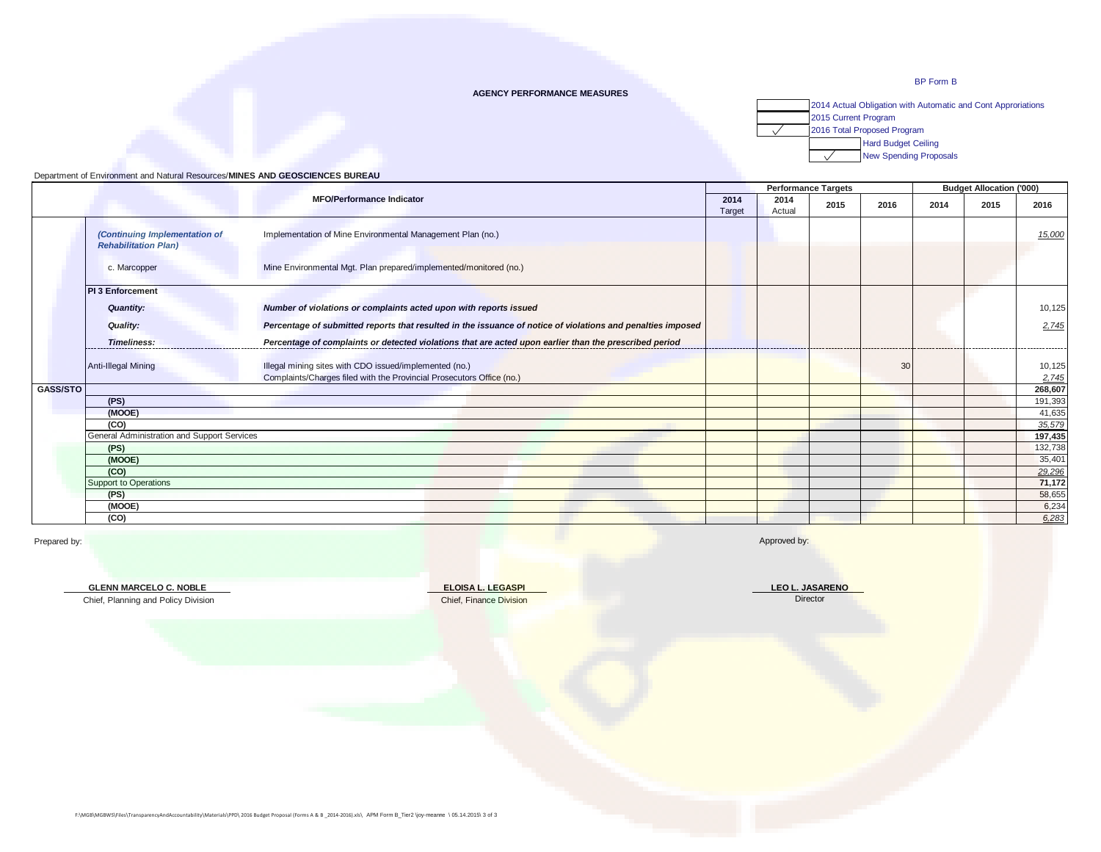#### **AGENCY PERFORMANCE MEASURES**



### Department of Environment and Natural Resources/**MINES AND GEOSCIENCES BUREAU**

|                                                              |                                                                                                             |  |                | <b>Performance Targets</b> | <b>Budget Allocation ('000)</b> |      |      |         |
|--------------------------------------------------------------|-------------------------------------------------------------------------------------------------------------|--|----------------|----------------------------|---------------------------------|------|------|---------|
|                                                              | <b>MFO/Performance Indicator</b>                                                                            |  | 2014<br>Actual | 2015                       | 2016                            | 2014 | 2015 | 2016    |
| (Continuing Implementation of<br><b>Rehabilitation Plan)</b> | Implementation of Mine Environmental Management Plan (no.)                                                  |  |                |                            |                                 |      |      | 15,000  |
| c. Marcopper                                                 | Mine Environmental Mgt. Plan prepared/implemented/monitored (no.)                                           |  |                |                            |                                 |      |      |         |
| <b>PI 3 Enforcement</b>                                      |                                                                                                             |  |                |                            |                                 |      |      |         |
| <b>Quantity:</b>                                             | Number of violations or complaints acted upon with reports issued                                           |  |                |                            |                                 |      |      | 10,125  |
| <b>Quality:</b>                                              | Percentage of submitted reports that resulted in the issuance of notice of violations and penalties imposed |  |                |                            |                                 |      |      | 2,745   |
| <b>Timeliness:</b>                                           | Percentage of complaints or detected violations that are acted upon earlier than the prescribed period      |  |                |                            |                                 |      |      |         |
| <b>Anti-Illegal Mining</b>                                   | Illegal mining sites with CDO issued/implemented (no.)                                                      |  |                |                            | 30                              |      |      | 10,125  |
|                                                              | Complaints/Charges filed with the Provincial Prosecutors Office (no.)                                       |  |                |                            |                                 |      |      | 2,745   |
| GASS/STO                                                     |                                                                                                             |  |                |                            |                                 |      |      | 268,607 |
| (PS)                                                         |                                                                                                             |  |                |                            |                                 |      |      | 191,393 |
| (MOOE)                                                       |                                                                                                             |  |                |                            |                                 |      |      | 41,635  |
| (CO)                                                         |                                                                                                             |  |                |                            |                                 |      |      | 35,579  |
| General Administration and Support Services                  |                                                                                                             |  |                |                            |                                 |      |      | 197,435 |
| (PS)                                                         |                                                                                                             |  |                |                            |                                 |      |      | 132,738 |
| (MOOE)                                                       |                                                                                                             |  |                |                            |                                 |      |      | 35,401  |
| (CO)                                                         |                                                                                                             |  |                |                            |                                 |      |      | 29,296  |
| Support to Operations                                        |                                                                                                             |  |                |                            |                                 |      |      | 71,172  |
| (PS)                                                         |                                                                                                             |  |                |                            |                                 |      |      | 58,655  |
| (MOOE)                                                       |                                                                                                             |  |                |                            |                                 |      |      | 6,234   |
| (CO)                                                         |                                                                                                             |  |                |                            |                                 |      |      | 6,283   |

Prepared by: Approved by: Approved by: Approved by: Approved by: Approved by: Approved by: Approved by: Approved by: Approved by: Approved by: Approved by: Approved by: Approved by: Approved by: Approved by: Approved by: A

**GLENN MARCELO C. NOBLE**

**ELOISA L. LEGASPI** Chief, Finance Division Chief, Planning and Policy Division Director Division Chief, Finance Division Director Director

**LEO L. JASARENO**

F:\MGB\MGBWS\Files\TransparencyAndAccountability\Materials\PPD\ 2016 Budget Proposal (Forms A & B \_2014-2016).xls\ APM Form B\_Tier2 \joy-meanne \ 05.14.2015\ 3 of 3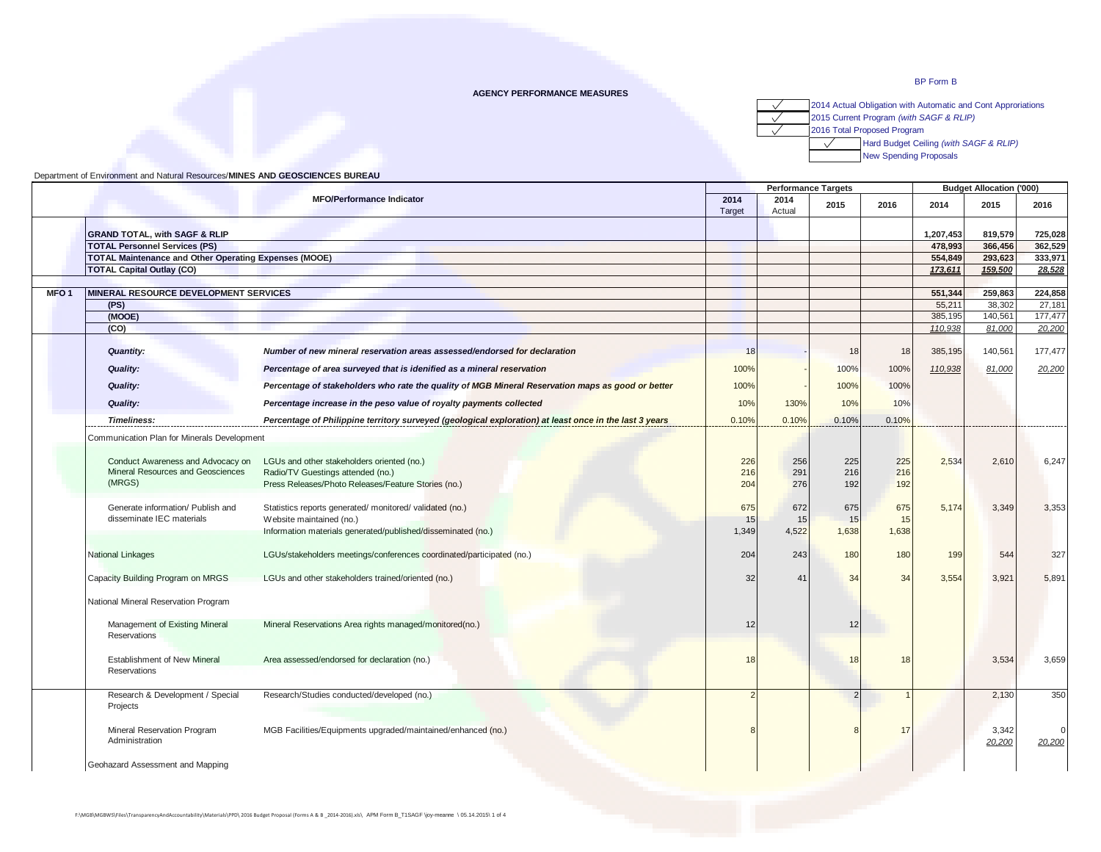## **AGENCY PERFORMANCE MEASURES**

2014 Actual Obligation with Automatic and Cont Approriations  $\sqrt{}$ 

2015 Current Program *(with SAGF & RLIP)*

2016 Total Proposed Program

 $\sqrt{}$  $\sqrt{}$ 

> $\sqrt{2}$ Hard Budget Ceiling *(with SAGF & RLIP)*

New Spending Proposals

| Department of Environment and Natural Resources/MINES AND GEOSCIENCES BUREAU |  |  |
|------------------------------------------------------------------------------|--|--|
|                                                                              |  |  |

|                  |                                                                                  |                                                                                                                                                      |                    |                    | <b>Performance Targets</b> |                    | <b>Budget Allocation ('000)</b> |                 |                    |
|------------------|----------------------------------------------------------------------------------|------------------------------------------------------------------------------------------------------------------------------------------------------|--------------------|--------------------|----------------------------|--------------------|---------------------------------|-----------------|--------------------|
|                  |                                                                                  | <b>MFO/Performance Indicator</b>                                                                                                                     | 2014<br>Target     | 2014<br>Actual     | 2015                       | 2016               | 2014                            | 2015            | 2016               |
|                  | <b>GRAND TOTAL, with SAGF &amp; RLIP</b>                                         |                                                                                                                                                      |                    |                    |                            |                    | 1,207,453                       | 819,579         | 725,028            |
|                  | <b>TOTAL Personnel Services (PS)</b>                                             |                                                                                                                                                      |                    |                    |                            |                    | 478,993                         | 366.456         | 362,529            |
|                  | <b>TOTAL Maintenance and Other Operating Expenses (MOOE)</b>                     |                                                                                                                                                      |                    |                    |                            |                    | 554,849                         | 293,623         | 333,971            |
|                  | <b>TOTAL Capital Outlay (CO)</b>                                                 |                                                                                                                                                      |                    |                    |                            |                    | 173,611                         | 159,500         | 28,528             |
|                  |                                                                                  |                                                                                                                                                      |                    |                    |                            |                    |                                 |                 |                    |
| MFO <sub>1</sub> | MINERAL RESOURCE DEVELOPMENT SERVICES                                            |                                                                                                                                                      |                    |                    |                            |                    | 551,344                         | 259,863         | 224,858            |
|                  | (PS)                                                                             |                                                                                                                                                      |                    |                    |                            |                    | 55.211                          | 38,302          | 27,181             |
|                  | (MOOE)                                                                           |                                                                                                                                                      |                    |                    |                            |                    | 385,195                         | 140,561         | 177,477            |
|                  | (CO)                                                                             |                                                                                                                                                      |                    |                    |                            |                    | 110,938                         | 81,000          | 20,200             |
|                  | <b>Quantity:</b>                                                                 | Number of new mineral reservation areas assessed/endorsed for declaration                                                                            | 18                 |                    | 18                         | 18                 | 385,195                         | 140,561         | 177,477            |
|                  | <b>Quality:</b>                                                                  | Percentage of area surveyed that is idenified as a mineral reservation                                                                               | 100%               |                    | 100%                       | 100%               | 110,938                         | 81,000          | 20,200             |
|                  | <b>Quality:</b>                                                                  | Percentage of stakeholders who rate the quality of MGB Mineral Reservation maps as good or better                                                    | 100%               |                    | 100%                       | 100%               |                                 |                 |                    |
|                  | <b>Quality:</b>                                                                  | Percentage increase in the peso value of royalty payments collected                                                                                  | 10%                | 130%               | 10%                        | 10%                |                                 |                 |                    |
|                  | <b>Timeliness:</b>                                                               | Percentage of Philippine territory surveyed (geological exploration) at least once in the last 3 years                                               | 0.10%              | 0.10%              | 0.10%                      | 0.10%              |                                 |                 |                    |
|                  | Communication Plan for Minerals Development                                      |                                                                                                                                                      |                    |                    |                            |                    |                                 |                 |                    |
|                  | Conduct Awareness and Advocacy on<br>Mineral Resources and Geosciences<br>(MRGS) | LGUs and other stakeholders oriented (no.)<br>Radio/TV Guestings attended (no.)<br>Press Releases/Photo Releases/Feature Stories (no.)               | 226<br>216<br>204  | 256<br>291<br>276  | 225<br>216<br>192          | 225<br>216<br>192  | 2,534                           | 2,610           | 6,247              |
|                  | Generate information/ Publish and<br>disseminate IEC materials                   | Statistics reports generated/ monitored/ validated (no.)<br>Website maintained (no.)<br>Information materials generated/published/disseminated (no.) | 675<br>15<br>1,349 | 672<br>15<br>4,522 | 675<br>15<br>1,638         | 675<br>15<br>1,638 | 5,174                           | 3,349           | 3,353              |
|                  | National Linkages                                                                | LGUs/stakeholders meetings/conferences coordinated/participated (no.)                                                                                | 204                | 243                | 180                        | 180                | 199                             | 544             | 327                |
|                  | Capacity Building Program on MRGS                                                | LGUs and other stakeholders trained/oriented (no.)                                                                                                   | 32                 | 41                 | 34                         | 34                 | 3,554                           | 3,921           | 5,891              |
|                  | National Mineral Reservation Program                                             |                                                                                                                                                      |                    |                    |                            |                    |                                 |                 |                    |
|                  | Management of Existing Mineral<br><b>Reservations</b>                            | Mineral Reservations Area rights managed/monitored(no.)                                                                                              | 12                 |                    | 12                         |                    |                                 |                 |                    |
|                  | <b>Establishment of New Mineral</b><br>Reservations                              | Area assessed/endorsed for declaration (no.)                                                                                                         | 18                 |                    | 18                         | 18                 |                                 | 3,534           | 3,659              |
|                  | Research & Development / Special<br>Projects                                     | Research/Studies conducted/developed (no.)                                                                                                           |                    |                    | $\overline{2}$             |                    |                                 | 2,130           | 350                |
|                  | Mineral Reservation Program<br>Administration                                    | MGB Facilities/Equipments upgraded/maintained/enhanced (no.)                                                                                         |                    |                    | 8                          | 17                 |                                 | 3,342<br>20,200 | $\Omega$<br>20,200 |
|                  | Geohazard Assessment and Mapping                                                 |                                                                                                                                                      |                    |                    |                            |                    |                                 |                 |                    |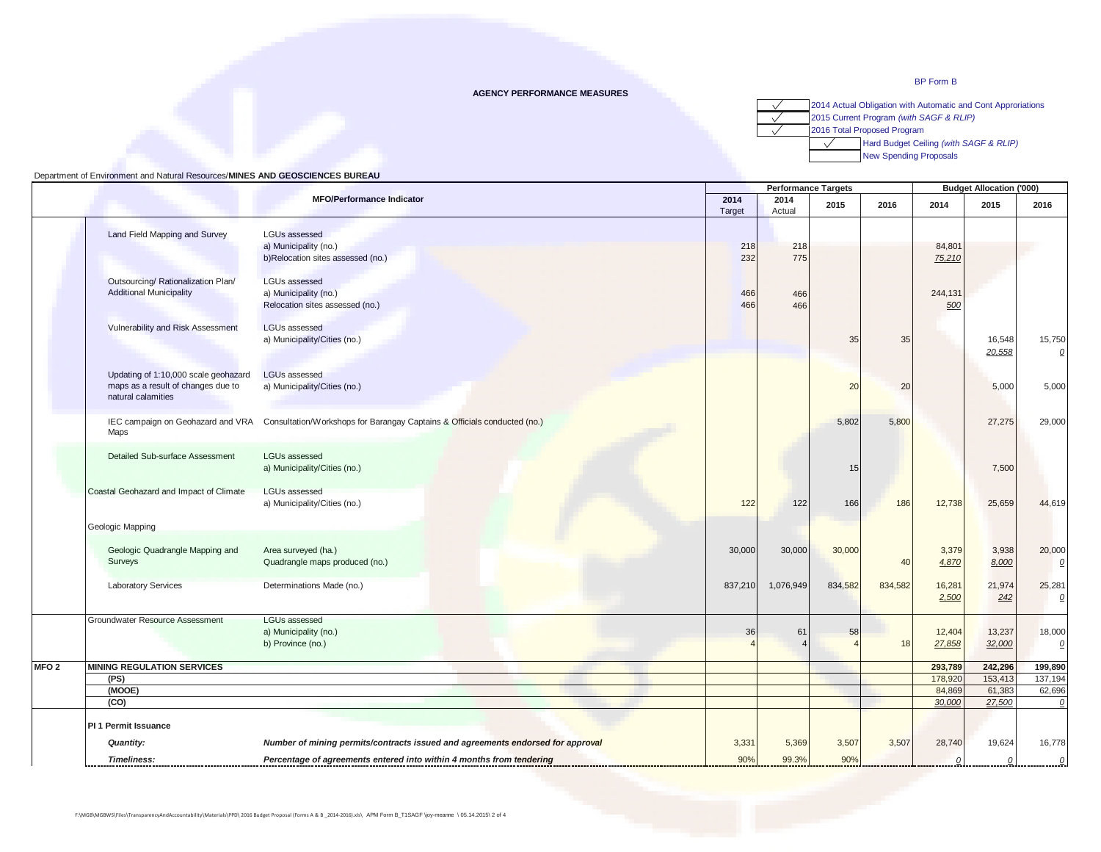#### **AGENCY PERFORMANCE MEASURES**

2014 Actual Obligation with Automatic and Cont Approriations  $\checkmark$  $\overline{\sqrt{}}$ 2015 Current Program *(with SAGF & RLIP)*  $\sqrt{}$ 



 $\sqrt{}$ Hard Budget Ceiling *(with SAGF & RLIP)*

New Spending Proposals

|                  |                                                                                                  |                                                                                    |            | <b>Performance Targets</b> |         |         |                  | <b>Budget Allocation ('000)</b> |                          |  |
|------------------|--------------------------------------------------------------------------------------------------|------------------------------------------------------------------------------------|------------|----------------------------|---------|---------|------------------|---------------------------------|--------------------------|--|
|                  |                                                                                                  | <b>MFO/Performance Indicator</b>                                                   |            | 2014<br>Actual             | 2015    | 2016    | 2014             | 2015                            | 2016                     |  |
|                  | Land Field Mapping and Survey                                                                    | <b>LGUs assessed</b><br>a) Municipality (no.)<br>b)Relocation sites assessed (no.) | 218<br>232 | 218<br>775                 |         |         | 84,801<br>75,210 |                                 |                          |  |
|                  | Outsourcing/ Rationalization Plan/<br><b>Additional Municipality</b>                             | <b>LGUs assessed</b><br>a) Municipality (no.)<br>Relocation sites assessed (no.)   | 466<br>466 | 466<br>466                 |         |         | 244,131<br>500   |                                 |                          |  |
|                  | Vulnerability and Risk Assessment                                                                | <b>LGUs assessed</b><br>a) Municipality/Cities (no.)                               |            |                            | 35      | 35      |                  | 16,548<br>20,558                | 15,750<br>$\mathcal Q$   |  |
|                  | Updating of 1:10,000 scale geohazard<br>maps as a result of changes due to<br>natural calamities | <b>LGUs assessed</b><br>a) Municipality/Cities (no.)                               |            |                            | 20      | 20      |                  | 5,000                           | 5,000                    |  |
|                  | IEC campaign on Geohazard and VRA<br>Maps                                                        | Consultation/Workshops for Barangay Captains & Officials conducted (no.)           |            |                            | 5,802   | 5,800   |                  | 27,275                          | 29,000                   |  |
|                  | Detailed Sub-surface Assessment                                                                  | LGUs assessed<br>a) Municipality/Cities (no.)                                      |            |                            | 15      |         |                  | 7,500                           |                          |  |
|                  | Coastal Geohazard and Impact of Climate                                                          | <b>LGUs assessed</b><br>a) Municipality/Cities (no.)                               | 122        | 122                        | 166     | 186     | 12,738           | 25,659                          | 44,619                   |  |
|                  | Geologic Mapping                                                                                 |                                                                                    |            |                            |         |         |                  |                                 |                          |  |
|                  | Geologic Quadrangle Mapping and<br>Surveys                                                       | Area surveyed (ha.)<br>Quadrangle maps produced (no.)                              | 30,000     | 30,000                     | 30,000  | 40      | 3,379<br>4,870   | 3,938<br>8,000                  | 20,000<br>$\mathcal{Q}$  |  |
|                  | <b>Laboratory Services</b>                                                                       | Determinations Made (no.)                                                          | 837,210    | 1,076,949                  | 834,582 | 834,582 | 16,281<br>2,500  | 21,974<br>242                   | 25,281<br>$\overline{0}$ |  |
|                  | Groundwater Resource Assessment                                                                  | LGUs assessed<br>a) Municipality (no.)<br>b) Province (no.)                        | 36         | 61                         | 58      | 18      | 12,404<br>27,858 | 13,237<br>32,000                | 18,000<br>$\Omega$       |  |
| MFO <sub>2</sub> | <b>MINING REGULATION SERVICES</b>                                                                |                                                                                    |            |                            |         |         | 293,789          | 242,296                         | 199,890                  |  |
|                  | (PS)                                                                                             |                                                                                    |            |                            |         |         | 178,920          | 153,413                         | 137,194                  |  |
|                  | (MOOE)                                                                                           |                                                                                    |            |                            |         |         | 84,869           | 61,383                          | 62,696                   |  |
|                  | (CO)                                                                                             |                                                                                    |            |                            |         |         | 30,000           | 27,500                          | $\mathcal{O}$            |  |
|                  | <b>PI 1 Permit Issuance</b>                                                                      |                                                                                    |            |                            |         |         |                  |                                 |                          |  |
|                  | <b>Quantity:</b>                                                                                 | Number of mining permits/contracts issued and agreements endorsed for approval     | 3,331      | 5,369                      | 3,507   | 3,507   | 28,740           | 19,624                          | 16,778                   |  |
|                  | <b>Timeliness:</b>                                                                               | Percentage of agreements entered into within 4 months from tendering               | 90%        | 99.3%                      | 90%     |         |                  | 0                               | $\Omega$                 |  |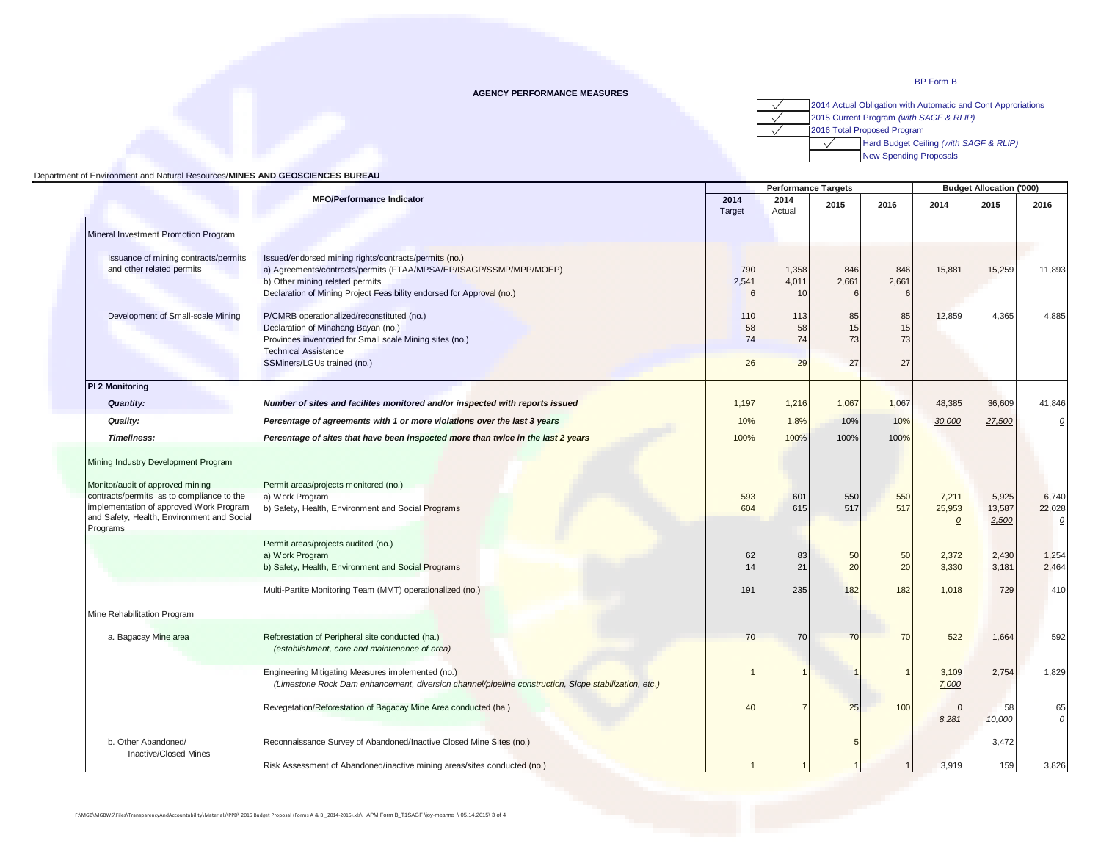#### **AGENCY PERFORMANCE MEASURES**

2014 Actual Obligation with Automatic and Cont Approriations  $\checkmark$  $\overline{\sqrt{}}$ 2015 Current Program *(with SAGF & RLIP)* 2016 Total Proposed Program  $\sqrt{}$ 

 $\sqrt{}$ Hard Budget Ceiling *(with SAGF & RLIP)*

New Spending Proposals

| <b>MFO/Performance Indicator</b>                                                                                                                                                   |                                                                                                                                                                |                 | <b>Performance Targets</b> |                |                |                             | <b>Budget Allocation ('000)</b> |                                   |  |  |
|------------------------------------------------------------------------------------------------------------------------------------------------------------------------------------|----------------------------------------------------------------------------------------------------------------------------------------------------------------|-----------------|----------------------------|----------------|----------------|-----------------------------|---------------------------------|-----------------------------------|--|--|
|                                                                                                                                                                                    |                                                                                                                                                                | 2014<br>Target  | 2014<br>Actual             | 2015           | 2016           | 2014                        | 2015                            | 2016                              |  |  |
| Mineral Investment Promotion Program                                                                                                                                               |                                                                                                                                                                |                 |                            |                |                |                             |                                 |                                   |  |  |
| Issuance of mining contracts/permits<br>and other related permits                                                                                                                  | Issued/endorsed mining rights/contracts/permits (no.)<br>a) Agreements/contracts/permits (FTAA/MPSA/EP/ISAGP/SSMP/MPP/MOEP)<br>b) Other mining related permits | 790<br>2,541    | 1,358<br>4,011             | 846<br>2,661   | 846<br>2,661   | 15,881                      | 15,259                          | 11,893                            |  |  |
|                                                                                                                                                                                    | Declaration of Mining Project Feasibility endorsed for Approval (no.)                                                                                          |                 | 10                         |                |                |                             |                                 |                                   |  |  |
| Development of Small-scale Mining                                                                                                                                                  | P/CMRB operationalized/reconstituted (no.)<br>Declaration of Minahang Bayan (no.)<br>Provinces inventoried for Small scale Mining sites (no.)                  | 110<br>58<br>74 | 113<br>58<br>74            | 85<br>15<br>73 | 85<br>15<br>73 | 12,859                      | 4,365                           | 4,885                             |  |  |
|                                                                                                                                                                                    | <b>Technical Assistance</b><br>SSMiners/LGUs trained (no.)                                                                                                     | 26              | 29                         | 27             | 27             |                             |                                 |                                   |  |  |
| PI 2 Monitoring                                                                                                                                                                    |                                                                                                                                                                |                 |                            |                |                |                             |                                 |                                   |  |  |
| Quantity:                                                                                                                                                                          | Number of sites and facilites monitored and/or inspected with reports issued                                                                                   | 1,197           | 1,216                      | 1,067          | 1,067          | 48,385                      | 36,609                          | 41,846                            |  |  |
| Quality:                                                                                                                                                                           | Percentage of agreements with 1 or more violations over the last 3 years                                                                                       | 10%             | 1.8%                       | 10%            | 10%            | 30,000                      | 27,500                          | 0                                 |  |  |
| <b>Timeliness:</b>                                                                                                                                                                 | Percentage of sites that have been inspected more than twice in the last 2 years                                                                               | 100%            | 100%                       | 100%           | 100%           |                             |                                 |                                   |  |  |
| Monitor/audit of approved mining<br>contracts/permits as to compliance to the<br>implementation of approved Work Program<br>and Safety, Health, Environment and Social<br>Programs | Permit areas/projects monitored (no.)<br>a) Work Program<br>b) Safety, Health, Environment and Social Programs<br>Permit areas/projects audited (no.)          | 593<br>604      | 601<br>615                 | 550<br>517     | 550<br>517     | 7,211<br>25,953<br>$\Omega$ | 5,925<br>13,587<br>2,500        | 6,740<br>22,028<br>$\overline{0}$ |  |  |
|                                                                                                                                                                                    | a) Work Program<br>b) Safety, Health, Environment and Social Programs                                                                                          | 62<br>14        | 83<br>21                   | 50<br>20       | 50<br>20       | 2,372<br>3,330              | 2,430<br>3,181                  | 1,254<br>2.464                    |  |  |
|                                                                                                                                                                                    | Multi-Partite Monitoring Team (MMT) operationalized (no.)                                                                                                      | 191             | 235                        | 182            | 182            | 1,018                       | 729                             | 410                               |  |  |
| Mine Rehabilitation Program                                                                                                                                                        |                                                                                                                                                                |                 |                            |                |                |                             |                                 |                                   |  |  |
| a. Bagacay Mine area                                                                                                                                                               | Reforestation of Peripheral site conducted (ha.)<br>(establishment, care and maintenance of area)                                                              | 70              | 70                         | 70             | 70             | 522                         | 1,664                           | 592                               |  |  |
|                                                                                                                                                                                    | Engineering Mitigating Measures implemented (no.)<br>(Limestone Rock Dam enhancement, diversion channel/pipeline construction, Slope stabilization, etc.)      |                 |                            |                |                | 3,109<br>7,000              | 2,754                           | 1,829                             |  |  |
|                                                                                                                                                                                    | Revegetation/Reforestation of Bagacay Mine Area conducted (ha.)                                                                                                | 40              |                            | 25             | 100            | $\Omega$<br>8,281           | 58<br>10,000                    | 65<br>$\overline{0}$              |  |  |
| b. Other Abandoned/<br><b>Inactive/Closed Mines</b>                                                                                                                                | Reconnaissance Survey of Abandoned/Inactive Closed Mine Sites (no.)                                                                                            |                 |                            |                |                |                             | 3,472                           |                                   |  |  |
|                                                                                                                                                                                    | Risk Assessment of Abandoned/inactive mining areas/sites conducted (no.)                                                                                       |                 |                            |                |                | 3,919                       | 159                             | 3,826                             |  |  |